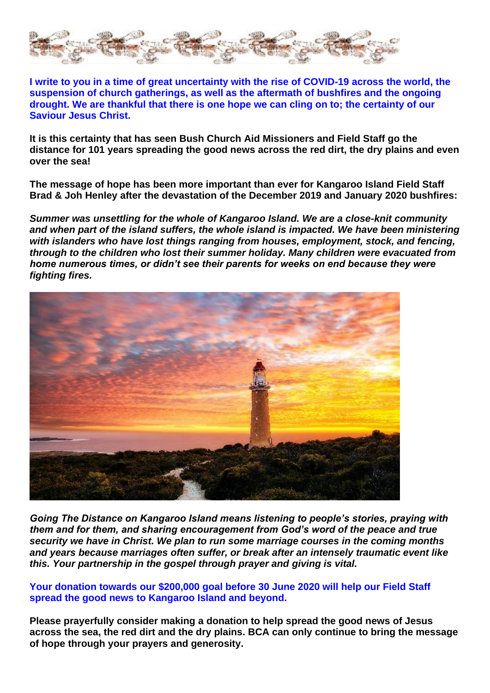

**[I write to you in a time of great uncertainty with the rise of COVID-19 across the world, the](https://www.bushchurchaid.com.au/hope)  [suspension of church gatherings, as well as the aftermath of bushfires and the ongoing](https://www.bushchurchaid.com.au/hope)  [drought. We are thankful that there is one hope we can cling on to; the certainty of our](https://www.bushchurchaid.com.au/hope)  [Saviour Jesus Christ.](https://www.bushchurchaid.com.au/hope)**

**It is this certainty that has seen Bush Church Aid Missioners and Field Staff go the distance for 101 years spreading the good news across the red dirt, the dry plains and even over the sea!**

**The message of hope has been more important than ever for Kangaroo Island Field Staff Brad & Joh Henley after the devastation of the December 2019 and January 2020 bushfires:**

*Summer was unsettling for the whole of Kangaroo Island. We are a close-knit community and when part of the island suffers, the whole island is impacted. We have been ministering with islanders who have lost things ranging from houses, employment, stock, and fencing, through to the children who lost their summer holiday. Many children were evacuated from home numerous times, or didn't see their parents for weeks on end because they were fighting fires.*



*Going The Distance on Kangaroo Island means listening to people's stories, praying with them and for them, and sharing encouragement from God's word of the peace and true security we have in Christ. We plan to run some marriage courses in the coming months and years because marriages often suffer, or break after an intensely traumatic event like this. Your partnership in the gospel through prayer and giving is vital.*

**[Your donation towards our \\$200,000 goal before 30 June 2020 will help our Field Staff](https://www.bushchurchaid.com.au/hope)  [spread the good news to Kangaroo Island and beyond.](https://www.bushchurchaid.com.au/hope)**

**Please prayerfully consider making a donation to help spread the good news of Jesus across the sea, the red dirt and the dry plains. BCA can only continue to bring the message of hope through your prayers and generosity.**